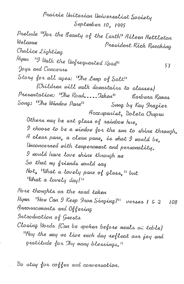Prairie Unitarian Universalist Society September 10, 1995

Prelude <sup>11</sup>For the Beauty of the Earth" Aileen Nettleton Welcome President Rick Ruecking Chalice Lighting Hymn <sup>119</sup> Walk the Unfrequented Road<sup>11</sup> 53 Joys and Concerns Story for all ages: "The Lump of Salt" (Children will walk downstairs to classes) Presentation: "The Road.....Jaken" Barbara Rames Song: "The Window Pane" Sung by Kay Irazier Accompanist, Doleta Chapru Others may be art glass of rainbow hue, I choose to be a window for the sun to shine through. A clear pane, a clean pane, is what I would be, Unconcerned with temperament and personality. I would have love shine through me So that my friends would say Not, "What a lovely pane of glass," but What a lovely day!"

More thoughts on the road taken Nymn Wow Can 9 Keep From Singing?" verses 1 & 2 108 Announcements and Offering Introduction of Guests Closing Words (Can be spoken before meals at table) "May the way we live each day reflect our joy and gratitude for Thy many blessings."

Do stay for coffee and conversation.